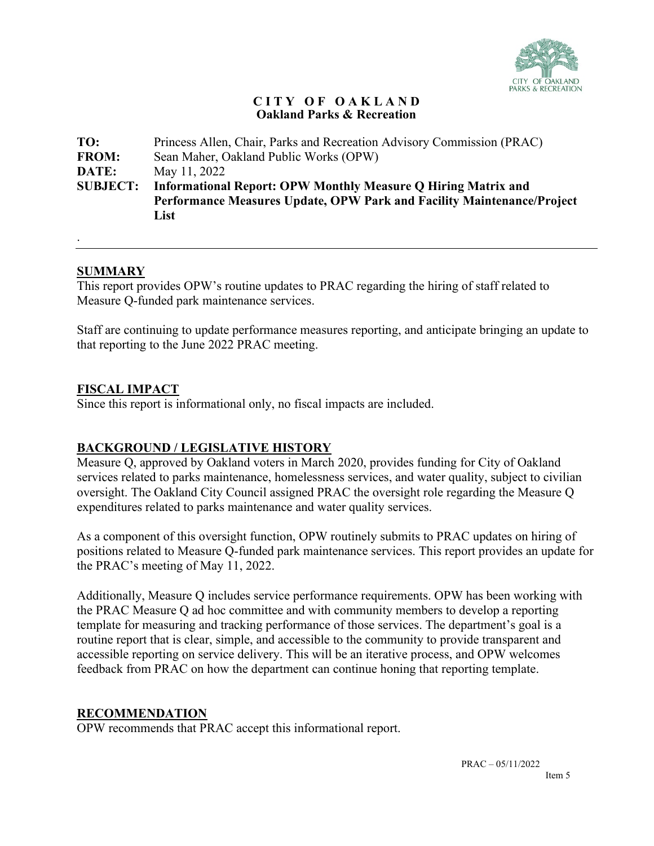

#### **C I T Y O F O A K L A N D Oakland Parks & Recreation**

| TO:             | Princess Allen, Chair, Parks and Recreation Advisory Commission (PRAC) |  |  |  |  |  |
|-----------------|------------------------------------------------------------------------|--|--|--|--|--|
| <b>FROM:</b>    | Sean Maher, Oakland Public Works (OPW)                                 |  |  |  |  |  |
| DATE:           | May 11, 2022                                                           |  |  |  |  |  |
| <b>SUBJECT:</b> | <b>Informational Report: OPW Monthly Measure O Hiring Matrix and</b>   |  |  |  |  |  |
|                 | Performance Measures Update, OPW Park and Facility Maintenance/Project |  |  |  |  |  |
|                 | List                                                                   |  |  |  |  |  |
|                 |                                                                        |  |  |  |  |  |

#### **SUMMARY**

.

This report provides OPW's routine updates to PRAC regarding the hiring of staff related to Measure Q-funded park maintenance services.

Staff are continuing to update performance measures reporting, and anticipate bringing an update to that reporting to the June 2022 PRAC meeting.

#### **FISCAL IMPACT**

Since this report is informational only, no fiscal impacts are included.

### **BACKGROUND / LEGISLATIVE HISTORY**

Measure Q, approved by Oakland voters in March 2020, provides funding for City of Oakland services related to parks maintenance, homelessness services, and water quality, subject to civilian oversight. The Oakland City Council assigned PRAC the oversight role regarding the Measure Q expenditures related to parks maintenance and water quality services.

As a component of this oversight function, OPW routinely submits to PRAC updates on hiring of positions related to Measure Q-funded park maintenance services. This report provides an update for the PRAC's meeting of May 11, 2022.

Additionally, Measure Q includes service performance requirements. OPW has been working with the PRAC Measure Q ad hoc committee and with community members to develop a reporting template for measuring and tracking performance of those services. The department's goal is a routine report that is clear, simple, and accessible to the community to provide transparent and accessible reporting on service delivery. This will be an iterative process, and OPW welcomes feedback from PRAC on how the department can continue honing that reporting template.

#### **RECOMMENDATION**

OPW recommends that PRAC accept this informational report.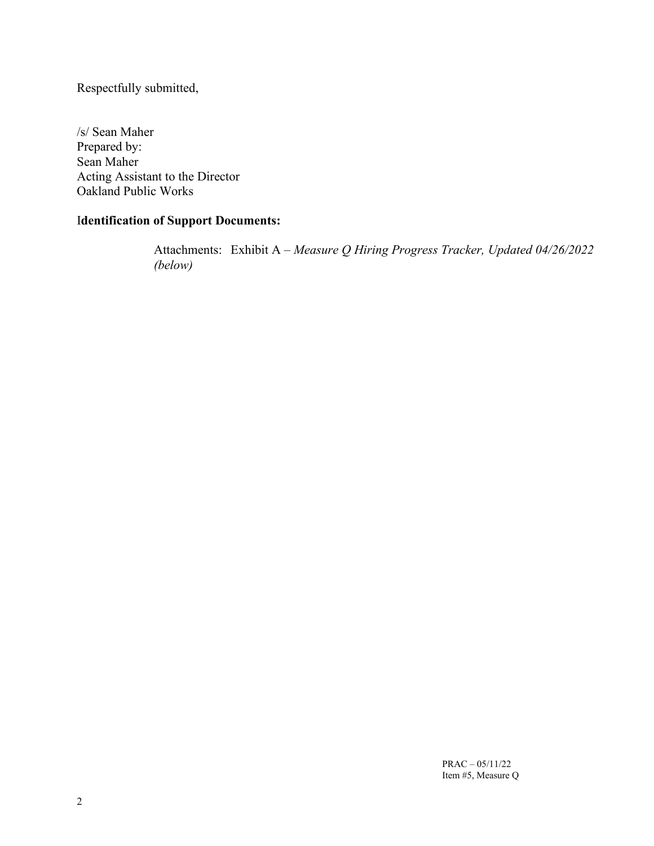Respectfully submitted,

/s/ Sean Maher Prepared by: Sean Maher Acting Assistant to the Director Oakland Public Works

## I**dentification of Support Documents:**

Attachments: Exhibit A – *Measure Q Hiring Progress Tracker, Updated 04/26/2022 (below)*